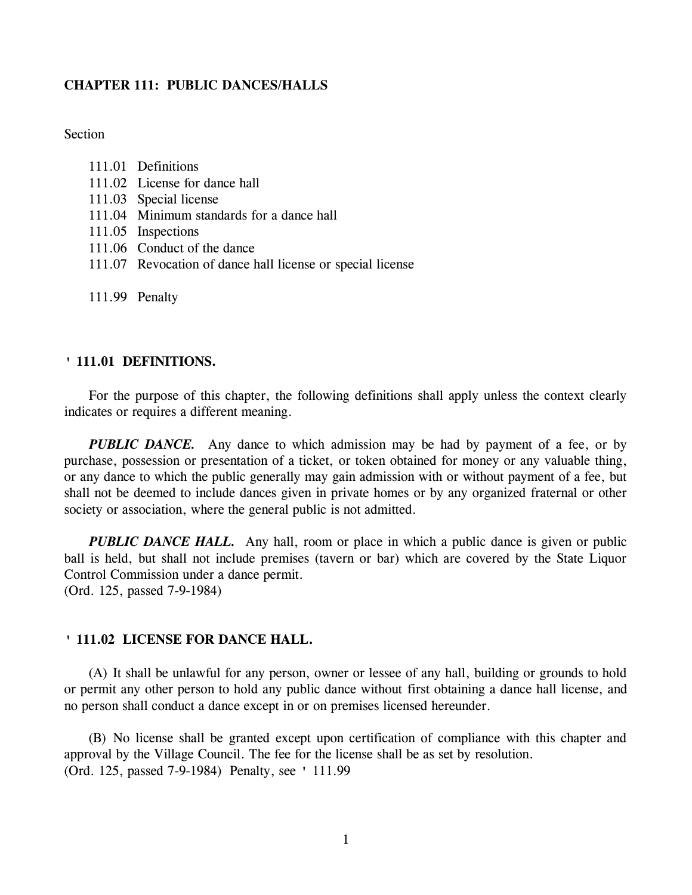## **CHAPTER 111: PUBLIC DANCES/HALLS**

Section

| 111.01 | Definitions |
|--------|-------------|
|--------|-------------|

- 111.02 License for dance hall
- 111.03 Special license
- 111.04 Minimum standards for a dance hall
- 111.05 Inspections
- 111.06 Conduct of the dance
- 111.07 Revocation of dance hall license or special license
- 111.99 Penalty

#### **' 111.01 DEFINITIONS.**

For the purpose of this chapter, the following definitions shall apply unless the context clearly indicates or requires a different meaning.

*PUBLIC DANCE.* Any dance to which admission may be had by payment of a fee, or by purchase, possession or presentation of a ticket, or token obtained for money or any valuable thing, or any dance to which the public generally may gain admission with or without payment of a fee, but shall not be deemed to include dances given in private homes or by any organized fraternal or other society or association, where the general public is not admitted.

*PUBLIC DANCE HALL.* Any hall, room or place in which a public dance is given or public ball is held, but shall not include premises (tavern or bar) which are covered by the State Liquor Control Commission under a dance permit. (Ord. 125, passed 7-9-1984)

## **' 111.02 LICENSE FOR DANCE HALL.**

(A) It shall be unlawful for any person, owner or lessee of any hall, building or grounds to hold or permit any other person to hold any public dance without first obtaining a dance hall license, and no person shall conduct a dance except in or on premises licensed hereunder.

(B) No license shall be granted except upon certification of compliance with this chapter and approval by the Village Council. The fee for the license shall be as set by resolution. (Ord. 125, passed 7-9-1984) Penalty, see ' 111.99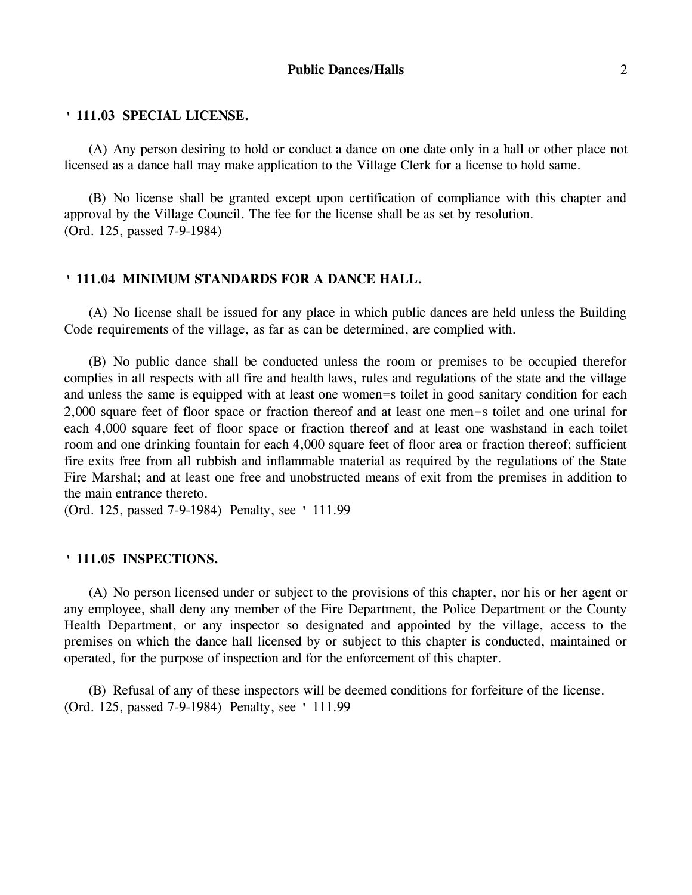(A) Any person desiring to hold or conduct a dance on one date only in a hall or other place not licensed as a dance hall may make application to the Village Clerk for a license to hold same.

(B) No license shall be granted except upon certification of compliance with this chapter and approval by the Village Council. The fee for the license shall be as set by resolution. (Ord. 125, passed 7-9-1984)

## **' 111.04 MINIMUM STANDARDS FOR A DANCE HALL.**

(A) No license shall be issued for any place in which public dances are held unless the Building Code requirements of the village, as far as can be determined, are complied with.

(B) No public dance shall be conducted unless the room or premises to be occupied therefor complies in all respects with all fire and health laws, rules and regulations of the state and the village and unless the same is equipped with at least one women=s toilet in good sanitary condition for each 2,000 square feet of floor space or fraction thereof and at least one men=s toilet and one urinal for each 4,000 square feet of floor space or fraction thereof and at least one washstand in each toilet room and one drinking fountain for each 4,000 square feet of floor area or fraction thereof; sufficient fire exits free from all rubbish and inflammable material as required by the regulations of the State Fire Marshal; and at least one free and unobstructed means of exit from the premises in addition to the main entrance thereto.

(Ord. 125, passed 7-9-1984) Penalty, see ' 111.99

#### **' 111.05 INSPECTIONS.**

(A) No person licensed under or subject to the provisions of this chapter, nor his or her agent or any employee, shall deny any member of the Fire Department, the Police Department or the County Health Department, or any inspector so designated and appointed by the village, access to the premises on which the dance hall licensed by or subject to this chapter is conducted, maintained or operated, for the purpose of inspection and for the enforcement of this chapter.

(B) Refusal of any of these inspectors will be deemed conditions for forfeiture of the license. (Ord. 125, passed 7-9-1984) Penalty, see ' 111.99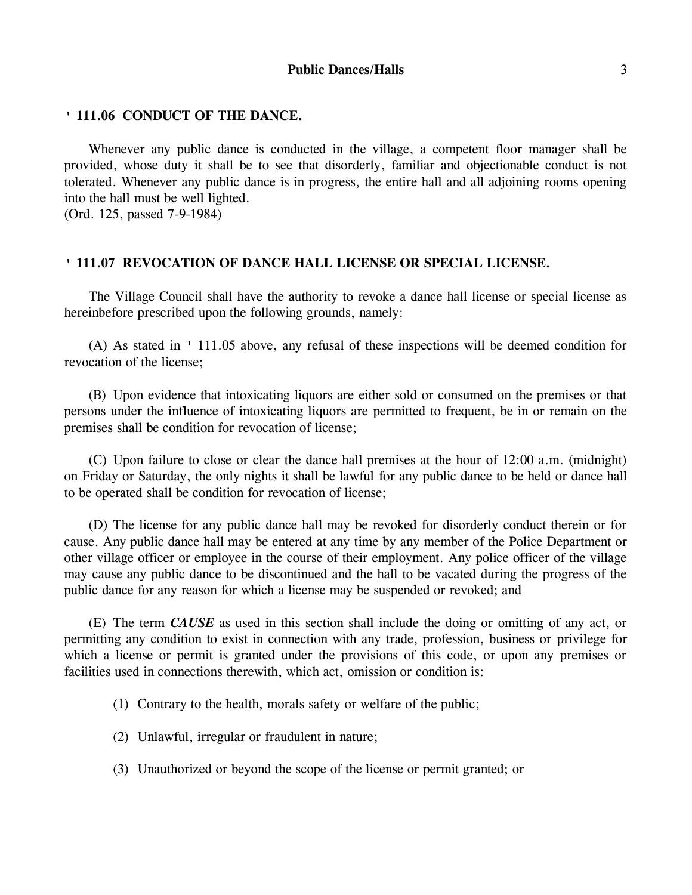#### **Public Dances/Halls** 3

## **' 111.06 CONDUCT OF THE DANCE.**

Whenever any public dance is conducted in the village, a competent floor manager shall be provided, whose duty it shall be to see that disorderly, familiar and objectionable conduct is not tolerated. Whenever any public dance is in progress, the entire hall and all adjoining rooms opening into the hall must be well lighted.

(Ord. 125, passed 7-9-1984)

## **' 111.07 REVOCATION OF DANCE HALL LICENSE OR SPECIAL LICENSE.**

The Village Council shall have the authority to revoke a dance hall license or special license as hereinbefore prescribed upon the following grounds, namely:

(A) As stated in ' 111.05 above, any refusal of these inspections will be deemed condition for revocation of the license;

(B) Upon evidence that intoxicating liquors are either sold or consumed on the premises or that persons under the influence of intoxicating liquors are permitted to frequent, be in or remain on the premises shall be condition for revocation of license;

(C) Upon failure to close or clear the dance hall premises at the hour of 12:00 a.m. (midnight) on Friday or Saturday, the only nights it shall be lawful for any public dance to be held or dance hall to be operated shall be condition for revocation of license;

(D) The license for any public dance hall may be revoked for disorderly conduct therein or for cause. Any public dance hall may be entered at any time by any member of the Police Department or other village officer or employee in the course of their employment. Any police officer of the village may cause any public dance to be discontinued and the hall to be vacated during the progress of the public dance for any reason for which a license may be suspended or revoked; and

(E) The term *CAUSE* as used in this section shall include the doing or omitting of any act, or permitting any condition to exist in connection with any trade, profession, business or privilege for which a license or permit is granted under the provisions of this code, or upon any premises or facilities used in connections therewith, which act, omission or condition is:

(1) Contrary to the health, morals safety or welfare of the public;

(2) Unlawful, irregular or fraudulent in nature;

(3) Unauthorized or beyond the scope of the license or permit granted; or